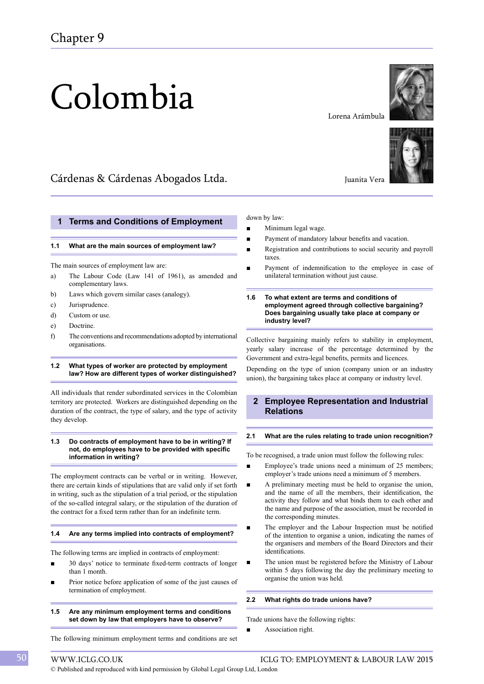# Colombia

Lorena Arámbula

Juanita Vera





Cárdenas & Cárdenas Abogados Ltda.

# **1 Terms and Conditions of Employment**

# **1.1 What are the main sources of employment law?**

The main sources of employment law are:

- a) The Labour Code (Law 141 of 1961), as amended and complementary laws.
- b) Laws which govern similar cases (analogy).
- c) Jurisprudence.
- d) Custom or use.
- e) Doctrine
- f) The conventions and recommendations adopted by international organisations.

## **1.2 What types of worker are protected by employment law? How are different types of worker distinguished?**

All individuals that render subordinated services in the Colombian territory are protected. Workers are distinguished depending on the duration of the contract, the type of salary, and the type of activity they develop.

#### **1.3 Do contracts of employment have to be in writing? If not, do employees have to be provided with specific information in writing?**

The employment contracts can be verbal or in writing. However, there are certain kinds of stipulations that are valid only if set forth in writing, such as the stipulation of a trial period, or the stipulation of the so-called integral salary, or the stipulation of the duration of the contract for a fixed term rather than for an indefinite term.

# **1.4 Are any terms implied into contracts of employment?**

The following terms are implied in contracts of employment:

- 30 days' notice to terminate fixed-term contracts of longer than 1 month.
- Prior notice before application of some of the just causes of termination of employment.
- **1.5 Are any minimum employment terms and conditions set down by law that employers have to observe?**

## down by law:

- Minimum legal wage.
- Payment of mandatory labour benefits and vacation.
- Registration and contributions to social security and payroll taxes.
- Payment of indemnification to the employee in case of unilateral termination without just cause.
- **1.6 To what extent are terms and conditions of employment agreed through collective bargaining? Does bargaining usually take place at company or industry level?**

Collective bargaining mainly refers to stability in employment, yearly salary increase of the percentage determined by the Government and extra-legal benefits, permits and licences.

Depending on the type of union (company union or an industry union), the bargaining takes place at company or industry level.

# **2 Employee Representation and Industrial Relations**

# **2.1 What are the rules relating to trade union recognition?**

To be recognised, a trade union must follow the following rules:

- Employee's trade unions need a minimum of 25 members; employer's trade unions need a minimum of 5 members.
- A preliminary meeting must be held to organise the union, and the name of all the members, their identification, the activity they follow and what binds them to each other and the name and purpose of the association, must be recorded in the corresponding minutes.
- The employer and the Labour Inspection must be notified of the intention to organise a union, indicating the names of the organisers and members of the Board Directors and their identifications.
- The union must be registered before the Ministry of Labour within 5 days following the day the preliminary meeting to organise the union was held.

# **2.2 What rights do trade unions have?**

Trade unions have the following rights:

Association right.

The following minimum employment terms and conditions are set

# www.iclg.co.uk

ICLG TO: EMPLOYMENT & LABOUR LAW 2015

© Published and reproduced with kind permission by Global Legal Group Ltd, London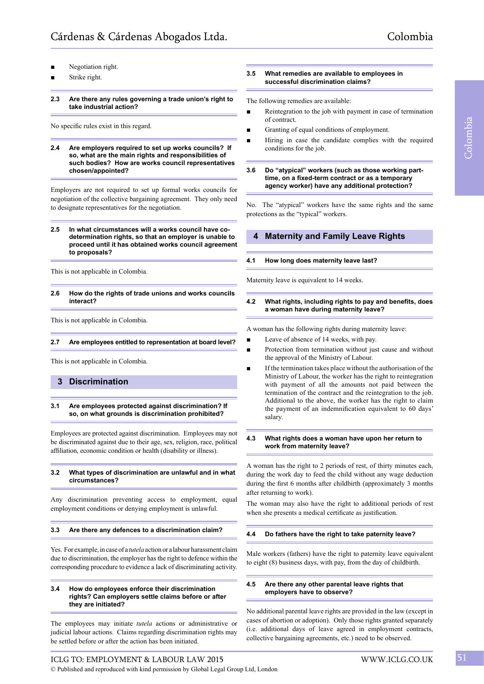- Negotiation right.
- Strike right.
- **2.3 Are there any rules governing a trade union's right to take industrial action?**

No specific rules exist in this regard.

**2.4 Are employers required to set up works councils? If so, what are the main rights and responsibilities of such bodies? How are works council representatives chosen/appointed?**

Employers are not required to set up formal works councils for negotiation of the collective bargaining agreement. They only need to designate representatives for the negotiation.

**2.5 In what circumstances will a works council have codetermination rights, so that an employer is unable to proceed until it has obtained works council agreement to proposals?**

This is not applicable in Colombia.

**2.6 How do the rights of trade unions and works councils interact?**

This is not applicable in Colombia.

# **2.7 Are employees entitled to representation at board level?**

This is not applicable in Colombia.

# **3 Discrimination**

## **3.1 Are employees protected against discrimination? If so, on what grounds is discrimination prohibited?**

Employees are protected against discrimination. Employees may not be discriminated against due to their age, sex, religion, race, political affiliation, economic condition or health (disability or illness).

#### **3.2 What types of discrimination are unlawful and in what circumstances?**

Any discrimination preventing access to employment, equal employment conditions or denying employment is unlawful.

**3.3 Are there any defences to a discrimination claim?**

Yes. For example, in case of a *tutela* action or a labour harassment claim due to discrimination, the employer has the right to defence within the corresponding procedure to evidence a lack of discriminating activity.

#### **3.4 How do employees enforce their discrimination rights? Can employers settle claims before or after they are initiated?**

The employees may initiate *tutela* actions or administrative or judicial labour actions. Claims regarding discrimination rights may be settled before or after the action has been initiated.

#### **3.5 What remedies are available to employees in successful discrimination claims?**

The following remedies are available:

- Reintegration to the job with payment in case of termination of contract.
- Granting of equal conditions of employment.
- Hiring in case the candidate complies with the required conditions for the job.
- **3.6 Do "atypical" workers (such as those working parttime, on a fixed-term contract or as a temporary agency worker) have any additional protection?**

No. The "atypical" workers have the same rights and the same protections as the "typical" workers.

# **4 Maternity and Family Leave Rights**

## **4.1 How long does maternity leave last?**

Maternity leave is equivalent to 14 weeks.

#### **4.2 What rights, including rights to pay and benefits, does a woman have during maternity leave?**

A woman has the following rights during maternity leave:

- Leave of absence of 14 weeks, with pay.
- Protection from termination without just cause and without the approval of the Ministry of Labour.
- mplies with the required<br>
mylies with the required<br>
those working part-<br>
in a stemporary<br>
same rights and the same<br>
axeverses a temporary<br>
same rights<br>
last?<br>
<br>
same rights<br>
last?<br>
<br>
last?<br>
<br>
same rights<br>
<br>
<br>
same and bene ■ If the termination takes place without the authorisation of the Ministry of Labour, the worker has the right to reintegration with payment of all the amounts not paid between the termination of the contract and the reintegration to the job. Additional to the above, the worker has the right to claim the payment of an indemnification equivalent to 60 days' salary.

#### **4.3 What rights does a woman have upon her return to work from maternity leave?**

A woman has the right to 2 periods of rest, of thirty minutes each, during the work day to feed the child without any wage deduction during the first 6 months after childbirth (approximately 3 months after returning to work).

The woman may also have the right to additional periods of rest when she presents a medical certificate as justification.

# **4.4 Do fathers have the right to take paternity leave?**

Male workers (fathers) have the right to paternity leave equivalent to eight (8) business days, with pay, from the day of childbirth.

#### **4.5 Are there any other parental leave rights that employers have to observe?**

No additional parental leave rights are provided in the law (except in cases of abortion or adoption). Only those rights granted separately (i.e. additional days of leave agreed in employment contracts, collective bargaining agreements, etc.) need to be observed.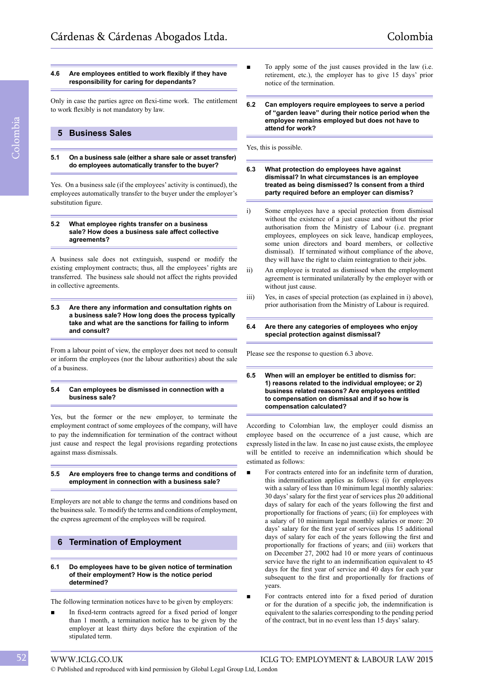#### **4.6 Are employees entitled to work flexibly if they have responsibility for caring for dependants?**

Only in case the parties agree on flexi-time work. The entitlement to work flexibly is not mandatory by law.

# **5 Business Sales**

#### **5.1 On a business sale (either a share sale or asset transfer) do employees automatically transfer to the buyer?**

Yes. On a business sale (if the employees' activity is continued), the employees automatically transfer to the buyer under the employer's substitution figure.

#### **5.2 What employee rights transfer on a business sale? How does a business sale affect collective agreements?**

A business sale does not extinguish, suspend or modify the existing employment contracts; thus, all the employees' rights are transferred. The business sale should not affect the rights provided in collective agreements.

#### **5.3 Are there any information and consultation rights on a business sale? How long does the process typically take and what are the sanctions for failing to inform and consult?**

From a labour point of view, the employer does not need to consult or inform the employees (nor the labour authorities) about the sale of a business.

#### **5.4 Can employees be dismissed in connection with a business sale?**

Yes, but the former or the new employer, to terminate the employment contract of some employees of the company, will have to pay the indemnification for termination of the contract without just cause and respect the legal provisions regarding protections against mass dismissals.

#### **5.5 Are employers free to change terms and conditions of employment in connection with a business sale?**

Employers are not able to change the terms and conditions based on the business sale. To modify the terms and conditions of employment, the express agreement of the employees will be required.

# **6 Termination of Employment**

www.iclg.co.uk

#### **6.1 Do employees have to be given notice of termination of their employment? How is the notice period determined?**

The following termination notices have to be given by employers:

In fixed-term contracts agreed for a fixed period of longer than 1 month, a termination notice has to be given by the employer at least thirty days before the expiration of the stipulated term.

- To apply some of the just causes provided in the law (i.e. retirement, etc.), the employer has to give 15 days' prior notice of the termination.
- **6.2 Can employers require employees to serve a period of "garden leave" during their notice period when the employee remains employed but does not have to attend for work?**

Yes, this is possible.

#### **6.3 What protection do employees have against dismissal? In what circumstances is an employee treated as being dismissed? Is consent from a third party required before an employer can dismiss?**

- i) Some employees have a special protection from dismissal without the existence of a just cause and without the prior authorisation from the Ministry of Labour (i.e. pregnant employees, employees on sick leave, handicap employees, some union directors and board members, or collective dismissal). If terminated without compliance of the above, they will have the right to claim reintegration to their jobs.
- ii) An employee is treated as dismissed when the employment agreement is terminated unilaterally by the employer with or without just cause.
- iii) Yes, in cases of special protection (as explained in i) above), prior authorisation from the Ministry of Labour is required.

#### **6.4 Are there any categories of employees who enjoy special protection against dismissal?**

Please see the response to question 6.3 above.

#### **6.5 When will an employer be entitled to dismiss for: 1) reasons related to the individual employee; or 2) business related reasons? Are employees entitled to compensation on dismissal and if so how is compensation calculated?**

According to Colombian law, the employer could dismiss an employee based on the occurrence of a just cause, which are expressly listed in the law. In case no just cause exists, the employee will be entitled to receive an indemnification which should be estimated as follows:

- 52 **Excelsions Sales**<br>
54 **constrained a state a state and set of the state and set of the state and set of the state and set of the state and set of the state and set of the state and set of the state and set of the stat** For contracts entered into for an indefinite term of duration, this indemnification applies as follows: (i) for employees with a salary of less than 10 minimum legal monthly salaries: 30 days' salary for the first year of services plus 20 additional days of salary for each of the years following the first and proportionally for fractions of years; (ii) for employees with a salary of 10 minimum legal monthly salaries or more: 20 days' salary for the first year of services plus 15 additional days of salary for each of the years following the first and proportionally for fractions of years; and (iii) workers that on December 27, 2002 had 10 or more years of continuous service have the right to an indemnification equivalent to 45 days for the first year of service and 40 days for each year subsequent to the first and proportionally for fractions of years.
	- For contracts entered into for a fixed period of duration or for the duration of a specific job, the indemnification is equivalent to the salaries corresponding to the pending period of the contract, but in no event less than 15 days' salary.

© Published and reproduced with kind permission by Global Legal Group Ltd, London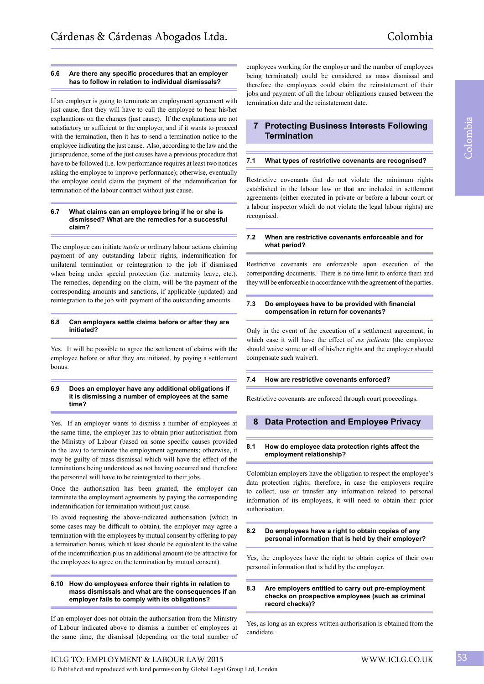## **6.6 Are there any specific procedures that an employer has to follow in relation to individual dismissals?**

If an employer is going to terminate an employment agreement with just cause, first they will have to call the employee to hear his/her explanations on the charges (just cause). If the explanations are not satisfactory or sufficient to the employer, and if it wants to proceed with the termination, then it has to send a termination notice to the employee indicating the just cause. Also, according to the law and the jurisprudence, some of the just causes have a previous procedure that have to be followed (i.e. low performance requires at least two notices asking the employee to improve performance); otherwise, eventually the employee could claim the payment of the indemnification for termination of the labour contract without just cause.

#### **6.7 What claims can an employee bring if he or she is dismissed? What are the remedies for a successful claim?**

The employee can initiate *tutela* or ordinary labour actions claiming payment of any outstanding labour rights, indemnification for unilateral termination or reintegration to the job if dismissed when being under special protection (i.e. maternity leave, etc.). The remedies, depending on the claim, will be the payment of the corresponding amounts and sanctions, if applicable (updated) and reintegration to the job with payment of the outstanding amounts.

#### **6.8 Can employers settle claims before or after they are initiated?**

Yes. It will be possible to agree the settlement of claims with the employee before or after they are initiated, by paying a settlement bonus.

#### **6.9 Does an employer have any additional obligations if it is dismissing a number of employees at the same time?**

Yes. If an employer wants to dismiss a number of employees at the same time, the employer has to obtain prior authorisation from the Ministry of Labour (based on some specific causes provided in the law) to terminate the employment agreements; otherwise, it may be guilty of mass dismissal which will have the effect of the terminations being understood as not having occurred and therefore the personnel will have to be reintegrated to their jobs.

Once the authorisation has been granted, the employer can terminate the employment agreements by paying the corresponding indemnification for termination without just cause.

To avoid requesting the above-indicated authorisation (which in some cases may be difficult to obtain), the employer may agree a termination with the employees by mutual consent by offering to pay a termination bonus, which at least should be equivalent to the value of the indemnification plus an additional amount (to be attractive for the employees to agree on the termination by mutual consent).

## **6.10 How do employees enforce their rights in relation to mass dismissals and what are the consequences if an employer fails to comply with its obligations?**

If an employer does not obtain the authorisation from the Ministry of Labour indicated above to dismiss a number of employees at the same time, the dismissal (depending on the total number of

employees working for the employer and the number of employees being terminated) could be considered as mass dismissal and therefore the employees could claim the reinstatement of their jobs and payment of all the labour obligations caused between the termination date and the reinstatement date.

# **7 Protecting Business Interests Following Termination**

# **7.1 What types of restrictive covenants are recognised?**

**Example 18 Colombia and Server Colombia and Server Conservants are recognised?**<br>
Hate the minimum rights<br>
re included in settlement<br>
re bicorea a labour court or<br>
he legal labour rights) are<br> **enforceable and for**<br> **upon** Restrictive covenants that do not violate the minimum rights established in the labour law or that are included in settlement agreements (either executed in private or before a labour court or a labour inspector which do not violate the legal labour rights) are recognised.

## **7.2 When are restrictive covenants enforceable and for what period?**

Restrictive covenants are enforceable upon execution of the corresponding documents. There is no time limit to enforce them and they will be enforceable in accordance with the agreement of the parties.

# **7.3 Do employees have to be provided with financial compensation in return for covenants?**

Only in the event of the execution of a settlement agreement; in which case it will have the effect of *res judicata* (the employee should waive some or all of his/her rights and the employer should compensate such waiver).

# **7.4 How are restrictive covenants enforced?**

Restrictive covenants are enforced through court proceedings.

# **8 Data Protection and Employee Privacy**

## **8.1 How do employee data protection rights affect the employment relationship?**

Colombian employers have the obligation to respect the employee's data protection rights; therefore, in case the employers require to collect, use or transfer any information related to personal information of its employees, it will need to obtain their prior authorisation.

## **8.2 Do employees have a right to obtain copies of any personal information that is held by their employer?**

Yes, the employees have the right to obtain copies of their own personal information that is held by the employer.

#### **8.3 Are employers entitled to carry out pre-employment checks on prospective employees (such as criminal record checks)?**

Yes, as long as an express written authorisation is obtained from the candidate.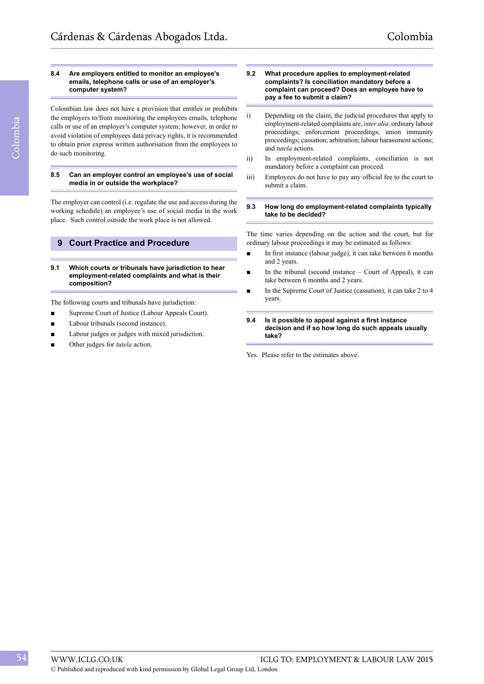## **8.4 Are employers entitled to monitor an employee's emails, telephone calls or use of an employer's computer system?**

Example to the neutron the neutron the state of the state of the state of the state of the state of the state of the state of the state of the state of the state of the state of the state of the state of the state of the Colombian law does not have a provision that entitles or prohibits the employers to/from monitoring the employees emails, telephone calls or use of an employer's computer system; however, in order to avoid violation of employees data privacy rights, it is recommended to obtain prior express written authorisation from the employees to do such monitoring.

#### **8.5 Can an employer control an employee's use of social media in or outside the workplace?**

The employer can control (i.e. regulate the use and access during the working schedule) an employee's use of social media in the work place. Such control outside the work place is not allowed.

# **9 Court Practice and Procedure**

## **9.1 Which courts or tribunals have jurisdiction to hear employment-related complaints and what is their composition?**

The following courts and tribunals have jurisdiction:

- Supreme Court of Justice (Labour Appeals Court).
- Labour tribunals (second instance).
- Labour judges or judges with mixed jurisdiction.
- Other judges for *tutela* action.

#### **9.2 What procedure applies to employment-related complaints? Is conciliation mandatory before a complaint can proceed? Does an employee have to pay a fee to submit a claim?**

- i) Depending on the claim, the judicial procedures that apply to employment-related complaints are, *inter alia*: ordinary labour proceedings; enforcement proceedings; union immunity proceedings; cassation; arbitration; labour harassment actions; and *tutela* actions.
- ii) In employment-related complaints, conciliation is not mandatory before a complaint can proceed.
- iii) Employees do not have to pay any official fee to the court to submit a claim.

#### **9.3 How long do employment-related complaints typically take to be decided?**

The time varies depending on the action and the court, but for ordinary labour proceedings it may be estimated as follows:

- In first instance (labour judge), it can take between 6 months and 2 years.
- In the tribunal (second instance  $-$  Court of Appeal), it can take between 6 months and 2 years.
- In the Supreme Court of Justice (cassation), it can take 2 to 4 years.

#### **9.4 Is it possible to appeal against a first instance decision and if so how long do such appeals usually take?**

Yes. Please refer to the estimates above.